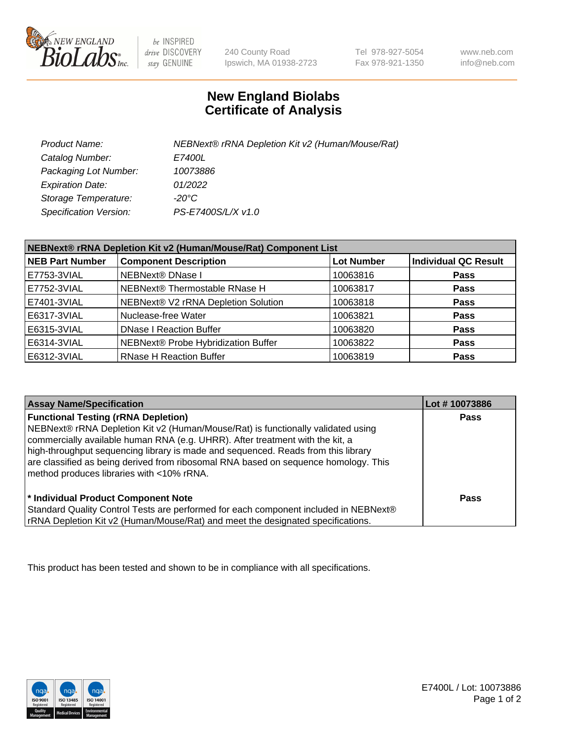

 $be$  INSPIRED drive DISCOVERY stay GENUINE

240 County Road Ipswich, MA 01938-2723 Tel 978-927-5054 Fax 978-921-1350

www.neb.com info@neb.com

## **New England Biolabs Certificate of Analysis**

| Product Name:           | NEBNext® rRNA Depletion Kit v2 (Human/Mouse/Rat) |
|-------------------------|--------------------------------------------------|
| Catalog Number:         | <i>E7400L</i>                                    |
| Packaging Lot Number:   | 10073886                                         |
| <b>Expiration Date:</b> | 01/2022                                          |
| Storage Temperature:    | -20°C                                            |
| Specification Version:  | PS-E7400S/L/X v1.0                               |

| NEBNext® rRNA Depletion Kit v2 (Human/Mouse/Rat) Component List |                                     |                   |                             |  |
|-----------------------------------------------------------------|-------------------------------------|-------------------|-----------------------------|--|
| <b>NEB Part Number</b>                                          | <b>Component Description</b>        | <b>Lot Number</b> | <b>Individual QC Result</b> |  |
| E7753-3VIAL                                                     | <b>NEBNext® DNase I</b>             | 10063816          | <b>Pass</b>                 |  |
| E7752-3VIAL                                                     | NEBNext® Thermostable RNase H       | 10063817          | <b>Pass</b>                 |  |
| E7401-3VIAL                                                     | NEBNext® V2 rRNA Depletion Solution | 10063818          | <b>Pass</b>                 |  |
| E6317-3VIAL                                                     | Nuclease-free Water                 | 10063821          | <b>Pass</b>                 |  |
| E6315-3VIAL                                                     | <b>DNase I Reaction Buffer</b>      | 10063820          | <b>Pass</b>                 |  |
| E6314-3VIAL                                                     | NEBNext® Probe Hybridization Buffer | 10063822          | <b>Pass</b>                 |  |
| E6312-3VIAL                                                     | <b>RNase H Reaction Buffer</b>      | 10063819          | <b>Pass</b>                 |  |

| <b>Assay Name/Specification</b>                                                                                                                                                                                                                                                                                                                                                                                                          | Lot #10073886 |
|------------------------------------------------------------------------------------------------------------------------------------------------------------------------------------------------------------------------------------------------------------------------------------------------------------------------------------------------------------------------------------------------------------------------------------------|---------------|
| <b>Functional Testing (rRNA Depletion)</b><br>NEBNext® rRNA Depletion Kit v2 (Human/Mouse/Rat) is functionally validated using<br>commercially available human RNA (e.g. UHRR). After treatment with the kit, a<br>high-throughput sequencing library is made and sequenced. Reads from this library<br>are classified as being derived from ribosomal RNA based on sequence homology. This<br>method produces libraries with <10% rRNA. | Pass          |
| * Individual Product Component Note<br>Standard Quality Control Tests are performed for each component included in NEBNext®<br>rRNA Depletion Kit v2 (Human/Mouse/Rat) and meet the designated specifications.                                                                                                                                                                                                                           | Pass          |

This product has been tested and shown to be in compliance with all specifications.